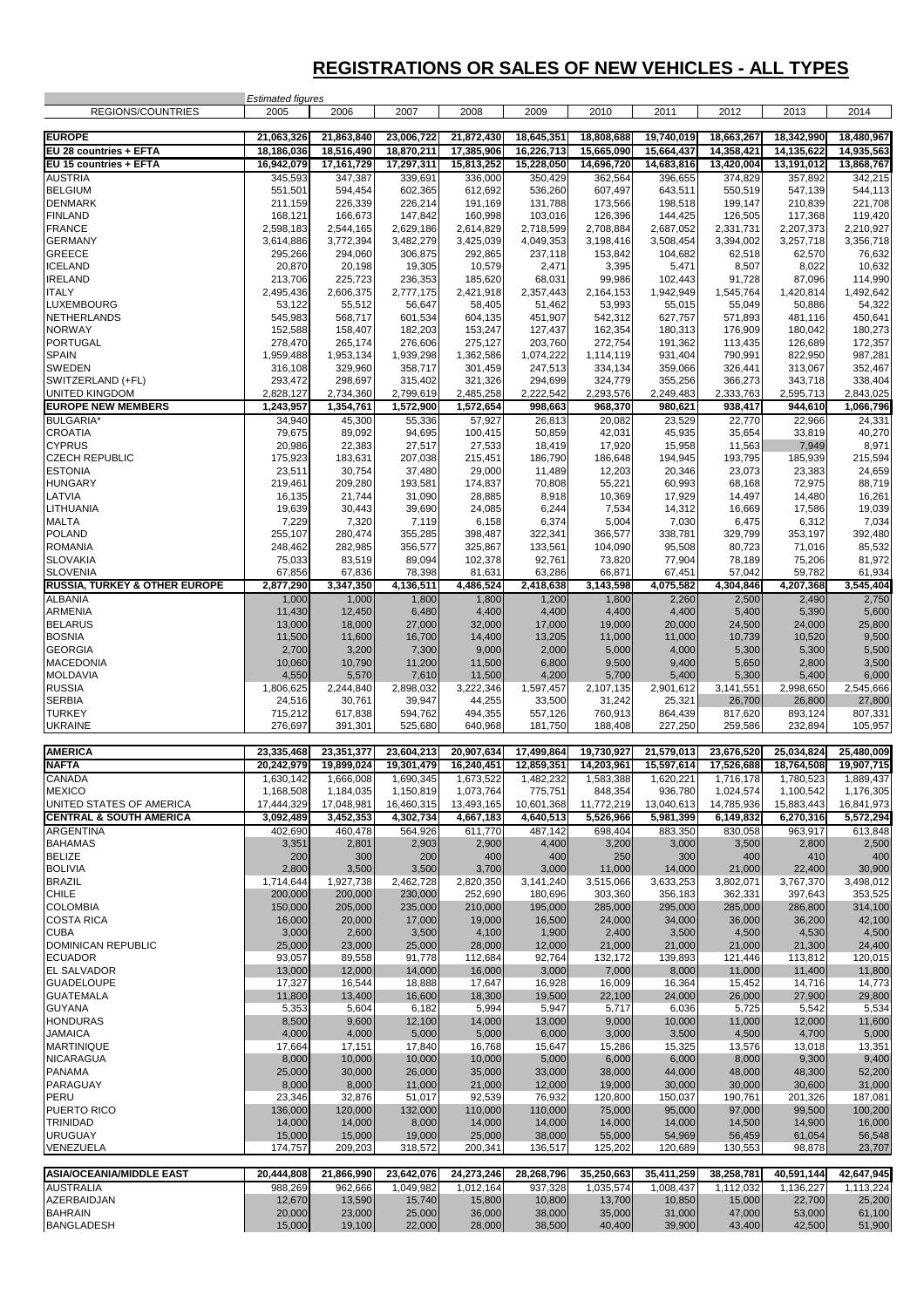## **REGISTRATIONS OR SALES OF NEW VEHICLES - ALL TYPES**

| REGIONS/COUNTRIES                                   | <b>Estimated figures</b><br>2005 | 2006                     | 2007                     | 2008                     | 2009                     | 2010                     | 2011                     | 2012                     | 2013                     | 2014                     |
|-----------------------------------------------------|----------------------------------|--------------------------|--------------------------|--------------------------|--------------------------|--------------------------|--------------------------|--------------------------|--------------------------|--------------------------|
|                                                     |                                  |                          |                          |                          |                          |                          |                          |                          |                          |                          |
| <b>EUROPE</b>                                       | 21,063,326                       | 21,863,840               | 23,006,722               | 21,872,430               | 18,645,351               | 18,808,688               | 19,740,019               | 18,663,267               | 18,342,990               | 18,480,967               |
| EU 28 countries + EFTA<br>EU 15 countries + EFTA    | 18,186,036<br>16,942,079         | 18,516,490<br>17,161,729 | 18,870,211<br>17,297,311 | 17,385,906<br>15,813,252 | 16,226,713<br>15,228,050 | 15,665,090<br>14,696,720 | 15,664,437<br>14,683,816 | 14,358,421<br>13,420,004 | 14,135,622<br>13,191,012 | 14,935,563<br>13,868,767 |
| <b>AUSTRIA</b>                                      | 345,593                          | 347,387                  | 339,691                  | 336,000                  | 350,429                  | 362,564                  | 396,655                  | 374,829                  | 357,892                  | 342,215                  |
| <b>BELGIUM</b>                                      | 551,501                          | 594,454                  | 602,365                  | 612,692                  | 536,260                  | 607,497                  | 643,511                  | 550,519                  | 547,139                  | 544,113                  |
| <b>DENMARK</b>                                      | 211,159                          | 226,339                  | 226,214                  | 191,169                  | 131,788                  | 173,566                  | 198,518                  | 199,147                  | 210,839                  | 221,708                  |
| <b>FINLAND</b><br><b>FRANCE</b>                     | 168,121<br>2,598,183             | 166,673<br>2,544,165     | 147,842<br>2,629,186     | 160,998<br>2,614,829     | 103,016<br>2,718,599     | 126,396<br>2,708,884     | 144,425<br>2,687,052     | 126,505<br>2,331,731     | 117,368<br>2,207,373     | 119,420<br>2,210,927     |
| <b>GERMANY</b>                                      | 3,614,886                        | 3,772,394                | 3,482,279                | 3,425,039                | 4,049,353                | 3,198,416                | 3,508,454                | 3,394,002                | 3,257,718                | 3,356,718                |
| GREECE                                              | 295,266                          | 294,060                  | 306,875                  | 292,865                  | 237,118                  | 153,842                  | 104,682                  | 62,518                   | 62,570                   | 76,632                   |
| <b>ICELAND</b><br><b>IRELAND</b>                    | 20,870<br>213,706                | 20,198<br>225,723        | 19,305<br>236,353        | 10,579<br>185,620        | 2,471<br>68,031          | 3,395<br>99,986          | 5,471<br>102,443         | 8,507<br>91,728          | 8,022<br>87,096          | 10,632<br>114,990        |
| <b>ITALY</b>                                        | 2,495,436                        | 2,606,375                | 2,777,175                | 2,421,918                | 2,357,443                | 2,164,153                | 1,942,949                | 1,545,764                | 1,420,814                | 1,492,642                |
| LUXEMBOURG                                          | 53,122                           | 55,512                   | 56,647                   | 58,405                   | 51,462                   | 53,993                   | 55,015                   | 55,049                   | 50,886                   | 54,322                   |
| <b>NETHERLANDS</b>                                  | 545,983                          | 568,717                  | 601,534                  | 604,135                  | 451,907                  | 542,312                  | 627,757                  | 571,893                  | 481.116                  | 450,641                  |
| <b>NORWAY</b><br><b>PORTUGAL</b>                    | 152,588<br>278,470               | 158,407<br>265,174       | 182,203<br>276,606       | 153,247<br>275,127       | 127,437<br>203,760       | 162,354<br>272,754       | 180,313<br>191,362       | 176,909<br>113,435       | 180,042<br>126,689       | 180,273<br>172,357       |
| <b>SPAIN</b>                                        | 1,959,488                        | 1,953,134                | 1,939,298                | 1,362,586                | 1,074,222                | 1,114,119                | 931,404                  | 790,991                  | 822,950                  | 987,281                  |
| <b>SWEDEN</b>                                       | 316,108                          | 329,960                  | 358,717                  | 301,459                  | 247,513                  | 334,134                  | 359,066                  | 326,441                  | 313,067                  | 352,467                  |
| SWITZERLAND (+FL)<br>UNITED KINGDOM                 | 293,472<br>2,828,127             | 298,697<br>2,734,360     | 315,402<br>2,799,619     | 321,326<br>2,485,258     | 294,699<br>2,222,542     | 324,779<br>2,293,576     | 355,256<br>2,249,483     | 366,273<br>2,333,763     | 343,718<br>2,595,713     | 338,404<br>2,843,025     |
| <b>EUROPE NEW MEMBERS</b>                           | 1,243,957                        | 1,354,761                | 1,572,900                | 1,572,654                | 998,663                  | 968,370                  | 980,621                  | 938,417                  | 944,610                  | 1,066,796                |
| <b>BULGARIA*</b>                                    | 34,940                           | 45,300                   | 55,336                   | 57,927                   | 26,813                   | 20,082                   | 23,529                   | 22,770                   | 22,966                   | 24,331                   |
| <b>CROATIA</b>                                      | 79,675                           | 89,092                   | 94,695                   | 100,415                  | 50,859                   | 42,031                   | 45,935                   | 35,654                   | 33,819                   | 40,270                   |
| <b>CYPRUS</b><br><b>CZECH REPUBLIC</b>              | 20,986<br>175,923                | 22,383<br>183,631        | 27,517<br>207,038        | 27,533<br>215,451        | 18,419<br>186,790        | 17,920<br>186,648        | 15,958<br>194,945        | 11,563<br>193,795        | 7,949<br>185,939         | 8,971<br>215,594         |
| <b>ESTONIA</b>                                      | 23,511                           | 30,754                   | 37,480                   | 29,000                   | 11,489                   | 12,203                   | 20,346                   | 23,073                   | 23,383                   | 24,659                   |
| <b>HUNGARY</b>                                      | 219,461                          | 209,280                  | 193,581                  | 174,837                  | 70,808                   | 55,221                   | 60,993                   | 68,168                   | 72,975                   | 88,719                   |
| LATVIA<br>LITHUANIA                                 | 16,135<br>19,639                 | 21,744<br>30,443         | 31,090<br>39,690         | 28,885<br>24,085         | 8,918<br>6,244           | 10,369<br>7,534          | 17,929<br>14,312         | 14,497<br>16,669         | 14,480<br>17,586         | 16,261<br>19,039         |
| <b>MALTA</b>                                        | 7,229                            | 7,320                    | 7,119                    | 6,158                    | 6,374                    | 5,004                    | 7,030                    | 6,475                    | 6,312                    | 7,034                    |
| <b>POLAND</b>                                       | 255,107                          | 280,474                  | 355,285                  | 398,487                  | 322,341                  | 366,577                  | 338,781                  | 329,799                  | 353,197                  | 392,480                  |
| <b>ROMANIA</b>                                      | 248,462                          | 282,985                  | 356,577                  | 325,867                  | 133,561                  | 104,090                  | 95,508                   | 80,723                   | 71,016                   | 85,532                   |
| <b>SLOVAKIA</b><br><b>SLOVENIA</b>                  | 75,033<br>67,856                 | 83,519<br>67,836         | 89,094<br>78,398         | 102,378<br>81,631        | 92,761<br>63,286         | 73,820<br>66,871         | 77,904<br>67,451         | 78,189<br>57,042         | 75,206<br>59,782         | 81,972<br>61,934         |
| RUSSIA, TURKEY & OTHER EUROPE                       | 2,877,290                        | 3,347,350                | 4,136,511                | 4,486,524                | 2,418,638                | 3,143,598                | 4,075,582                | 4,304,846                | 4,207,368                | 3,545,404                |
| <b>ALBANIA</b>                                      | 1,000                            | 1,000                    | 1,800                    | 1,800                    | 1,200                    | 1,800                    | 2,260                    | 2,500                    | 2,490                    | 2,750                    |
| <b>ARMENIA</b><br><b>BELARUS</b>                    | 11,430<br>13,000                 | 12,450<br>18,000         | 6,480<br>27,000          | 4,400<br>32,000          | 4,400<br>17,000          | 4,400<br>19,000          | 4,400<br>20,000          | 5,400<br>24,500          | 5,390<br>24,000          | 5,600<br>25,800          |
| <b>BOSNIA</b>                                       | 11,500                           | 11,600                   | 16,700                   | 14,400                   | 13,205                   | 11,000                   | 11,000                   | 10,739                   | 10,520                   | 9,500                    |
| <b>GEORGIA</b>                                      | 2,700                            | 3,200                    | 7,300                    | 9,000                    | 2,000                    | 5,000                    | 4,000                    | 5,300                    | 5,300                    | 5,500                    |
| <b>MACEDONIA</b>                                    | 10,060                           | 10,790                   | 11,200                   | 11,500                   | 6,800                    | 9,500                    | 9,400                    | 5,650                    | 2,800                    | 3,500                    |
| <b>MOLDAVIA</b><br><b>RUSSIA</b>                    | 4,550<br>1,806,625               | 5,570<br>2,244,840       | 7,610<br>2,898,032       | 11,500<br>3,222,346      | 4,200<br>1,597,457       | 5,700<br>2,107,135       | 5,400<br>2,901,612       | 5,300<br>3,141,551       | 5,400<br>2,998,650       | 6,000<br>2,545,666       |
| <b>SERBIA</b>                                       | 24,516                           | 30,761                   | 39,947                   | 44,255                   | 33,500                   | 31,242                   | 25,321                   | 26,700                   | 26,800                   | 27,800                   |
| <b>TURKEY</b>                                       | 715,212                          | 617,838                  | 594,762                  | 494,355                  | 557,126                  | 760,913                  | 864,439                  | 817,620                  | 893,124                  | 807,331                  |
| <b>UKRAINE</b>                                      | 276,697                          | 391,301                  | 525,680                  | 640,968                  | 181,750                  | 188,408                  | 227,250                  | 259,586                  | 232,894                  | 105,957                  |
| <b>AMERICA</b>                                      | 23,335,468                       | 23,351,377               | 23,604,213               | 20,907,634               | 17,499,864               | 19,730,927               | 21,579,013               | 23,676,520               | 25,034,824               | 25,480,009               |
| <b>NAFTA</b>                                        | 20,242,979                       | 19,899,024               | 19,301,479               | 16,240,451               | 12,859,351               | 14,203,961               | 15,597,614               | 17,526,688               | 18,764,508               | 19,907,715               |
| <b>CANADA</b><br><b>MEXICO</b>                      | 1,630,142<br>1,168,508           | 1,666,008<br>1,184,035   | 1.690.345<br>1,150,819   | 1,673,522<br>1,073,764   | 1,482,232<br>775,751     | 1,583,388<br>848,354     | 1,620,221<br>936,780     | 1,716,178<br>1,024,574   | 1,780,523<br>1,100,542   | 1.889.437<br>1,176,305   |
| UNITED STATES OF AMERICA                            | 17,444,329                       | 17,048,981               | 16,460,315               | 13,493,165               | 10,601,368               | 11,772,219               | 13,040,613               | 14,785,936               | 15,883,443               | 16,841,973               |
| <b>CENTRAL &amp; SOUTH AMERICA</b>                  | 3,092,489                        | 3,452,353                | 4,302,734                | 4,667,183                | 4,640,513                | 5,526,966                | 5,981,399                | 6,149,832                | 6,270,316                | 5,572,294                |
| <b>ARGENTINA</b><br><b>BAHAMAS</b>                  | 402,690<br>3,351                 | 460,478<br>2,801         | 564,926<br>2,903         | 611,770<br>2,900         | 487,142<br>4,400         | 698,404<br>3,200         | 883,350<br>3,000         | 830,058<br>3,500         | 963,917<br>2,800         | 613,848<br>2,500         |
| <b>BELIZE</b>                                       | 200                              | 300                      | 200                      | 400                      | 400                      | 250                      | 300                      | 400                      | 410                      | 400                      |
| <b>BOLIVIA</b>                                      | 2,800                            | 3,500                    | 3,500                    | 3,700                    | 3,000                    | 11,000                   | 14,000                   | 21,000                   | 22,400                   | 30,900                   |
| <b>BRAZIL</b>                                       | 1,714,644                        | 1,927,738                | 2,462,728                | 2,820,350                | 3,141,240                | 3,515,066                | 3,633,253                | 3,802,071                | 3,767,370                | 3,498,012                |
| <b>CHILE</b><br><b>COLOMBIA</b>                     | 200,000<br>150,000               | 200,000<br>205,000       | 230,000<br>235,000       | 252,690<br>210,000       | 180,696<br>195,000       | 303,360<br>285,000       | 356,183<br>295,000       | 362,331<br>285,000       | 397,643<br>286,800       | 353,525<br>314,100       |
| <b>COSTA RICA</b>                                   | 16,000                           | 20,000                   | 17,000                   | 19,000                   | 16,500                   | 24,000                   | 34,000                   | 36,000                   | 36,200                   | 42,100                   |
| <b>CUBA</b><br>DOMINICAN REPUBLIC                   | 3,000                            | 2,600                    | 3,500                    | 4,100                    | 1,900                    | 2,400                    | 3,500                    | 4,500                    | 4,530                    | 4,500                    |
| <b>ECUADOR</b>                                      | 25,000<br>93,057                 | 23,000<br>89,558         | 25,000<br>91,778         | 28,000<br>112,684        | 12,000<br>92,764         | 21,000<br>132,172        | 21,000<br>139,893        | 21,000<br>121,446        | 21,300<br>113,812        | 24,400<br>120,015        |
| <b>EL SALVADOR</b>                                  | 13,000                           | 12,000                   | 14,000                   | 16,000                   | 3,000                    | 7,000                    | 8,000                    | 11,000                   | 11,400                   | 11,800                   |
| <b>GUADELOUPE</b>                                   |                                  |                          |                          |                          |                          |                          |                          |                          |                          | 14,773                   |
|                                                     | 17,327                           | 16,544                   | 18,888                   | 17,647                   | 16,928                   | 16,009                   | 16,364                   | 15,452                   | 14,716                   |                          |
| <b>GUATEMALA</b>                                    | 11,800                           | 13,400                   | 16,600                   | 18,300                   | 19,500                   | 22,100                   | 24,000                   | 26,000                   | 27,900                   | 29,800                   |
| <b>GUYANA</b><br><b>HONDURAS</b>                    | 5,353<br>8,500                   | 5,604<br>9,600           | 6,182<br>12,100          | 5,994<br>14,000          | 5,947<br>13,000          | 5,717<br>9,000           | 6,036<br>10,000          | 5,725<br>11,000          | 5,542<br>12,000          | 5,534<br>11,600          |
| <b>JAMAICA</b>                                      | 4,000                            | 4,000                    | 5,000                    | 5,000                    | 6,000                    | 3,000                    | 3,500                    | 4,500                    | 4,700                    | 5,000                    |
| <b>MARTINIQUE</b>                                   | 17,664                           | 17,151                   | 17,840                   | 16,768                   | 15,647                   | 15,286                   | 15,325                   | 13,576                   | 13,018                   | 13,351                   |
| <b>NICARAGUA</b><br><b>PANAMA</b>                   | 8,000<br>25,000                  | 10,000<br>30,000         | 10,000<br>26,000         | 10,000<br>35,000         | 5,000<br>33,000          | 6,000<br>38,000          | 6,000<br>44,000          | 8,000<br>48,000          | 9,300<br>48,300          | 9,400<br>52,200          |
| PARAGUAY                                            | 8,000                            | 8,000                    | 11,000                   | 21,000                   | 12,000                   | 19,000                   | 30,000                   | 30,000                   | 30,600                   | 31,000                   |
| PERU                                                | 23,346                           | 32,876                   | 51,017                   | 92,539                   | 76,932                   | 120,800                  | 150,037                  | 190,761                  | 201,326                  | 187,081                  |
| PUERTO RICO<br><b>TRINIDAD</b>                      | 136,000                          | 120,000                  | 132,000                  | 110,000                  | 110,000                  | 75,000                   | 95,000                   | 97,000                   | 99,500                   | 100,200                  |
| <b>URUGUAY</b>                                      | 14,000<br>15,000                 | 14,000<br>15,000         | 8,000<br>19,000          | 14,000<br>25,000         | 14,000<br>38,000         | 14,000<br>55,000         | 14,000<br>54,969         | 14,500<br>56,459         | 14,900<br>61,054         | 16,000<br>56,548         |
| VENEZUELA                                           | 174,757                          | 209,203                  | 318,572                  | 200,341                  | 136,517                  | 125,202                  | 120,689                  | 130,553                  | 98,878                   | 23,707                   |
|                                                     | 20,444,808                       | 21,866,990               | 23,642,076               | 24,273,246               | 28,268,796               | 35,250,663               | 35,411,259               | 38,258,781               | 40,591,144               | 42,647,945               |
| <b>ASIA/OCEANIA/MIDDLE EAST</b><br><b>AUSTRALIA</b> | 988,269                          | 962,666                  | 1,049,982                | 1,012,164                | 937,328                  | 1,035,574                | 1,008,437                | 1,112,032                | 1,136,227                | 1,113,224                |
| <b>AZERBAIDJAN</b>                                  | 12,670                           | 13,590                   | 15,740                   | 15,800                   | 10,800                   | 13,700                   | 10,850                   | 15,000                   | 22,700                   | 25,200                   |
| <b>BAHRAIN</b><br><b>BANGLADESH</b>                 | 20,000<br>15,000                 | 23,000<br>19,100         | 25,000<br>22,000         | 36,000<br>28,000         | 38,000<br>38,500         | 35,000<br>40,400         | 31,000<br>39,900         | 47,000<br>43,400         | 53,000<br>42,500         | 61,100<br>51,900         |